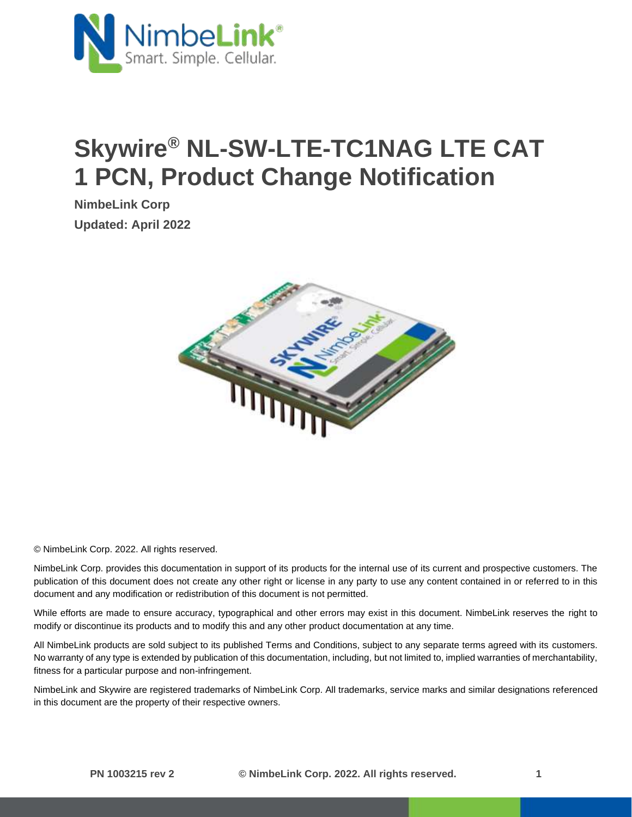

# **Skywire® NL-SW-LTE-TC1NAG LTE CAT 1 PCN, Product Change Notification**

**NimbeLink Corp Updated: April 2022**



© NimbeLink Corp. 2022. All rights reserved.

NimbeLink Corp. provides this documentation in support of its products for the internal use of its current and prospective customers. The publication of this document does not create any other right or license in any party to use any content contained in or referred to in this document and any modification or redistribution of this document is not permitted.

While efforts are made to ensure accuracy, typographical and other errors may exist in this document. NimbeLink reserves the right to modify or discontinue its products and to modify this and any other product documentation at any time.

All NimbeLink products are sold subject to its published Terms and Conditions, subject to any separate terms agreed with its customers. No warranty of any type is extended by publication of this documentation, including, but not limited to, implied warranties of merchantability, fitness for a particular purpose and non-infringement.

NimbeLink and Skywire are registered trademarks of NimbeLink Corp. All trademarks, service marks and similar designations referenced in this document are the property of their respective owners.

**PN 1003215 rev 2 © NimbeLink Corp. 2022. All rights reserved. 1**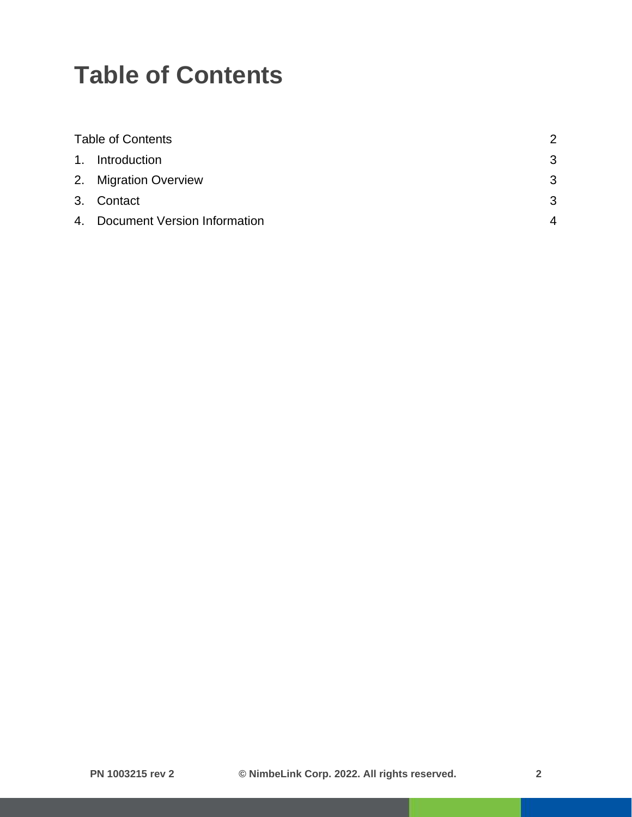### <span id="page-1-0"></span>**Table of Contents**

| <b>Table of Contents</b> |                                 | $\mathcal{P}$  |
|--------------------------|---------------------------------|----------------|
|                          | 1. Introduction                 | 3              |
|                          | 2. Migration Overview           | 3              |
|                          | 3. Contact                      | 3              |
|                          | 4. Document Version Information | $\overline{4}$ |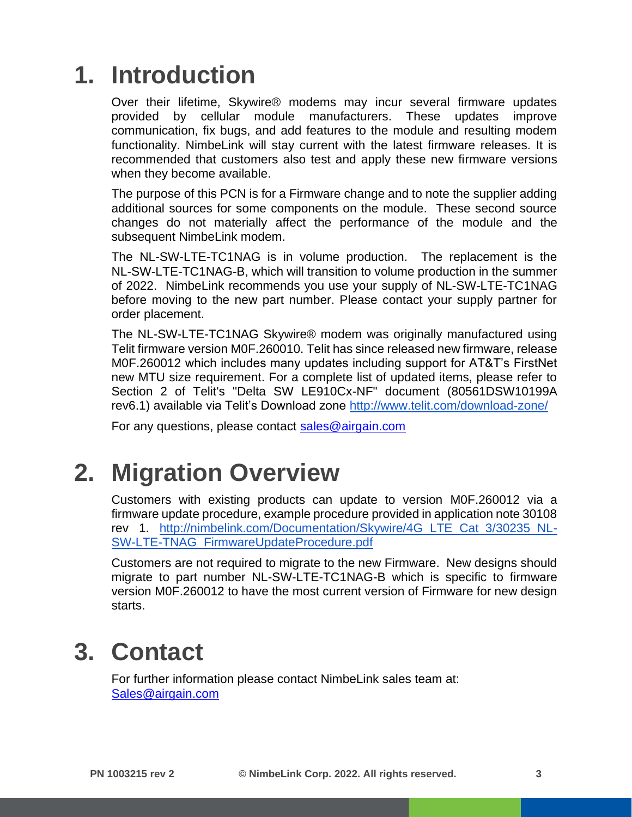### <span id="page-2-0"></span>**1. Introduction**

Over their lifetime, Skywire® modems may incur several firmware updates provided by cellular module manufacturers. These updates improve communication, fix bugs, and add features to the module and resulting modem functionality. NimbeLink will stay current with the latest firmware releases. It is recommended that customers also test and apply these new firmware versions when they become available.

The purpose of this PCN is for a Firmware change and to note the supplier adding additional sources for some components on the module. These second source changes do not materially affect the performance of the module and the subsequent NimbeLink modem.

The NL-SW-LTE-TC1NAG is in volume production. The replacement is the NL-SW-LTE-TC1NAG-B, which will transition to volume production in the summer of 2022. NimbeLink recommends you use your supply of NL-SW-LTE-TC1NAG before moving to the new part number. Please contact your supply partner for order placement.

The NL-SW-LTE-TC1NAG Skywire® modem was originally manufactured using Telit firmware version M0F.260010. Telit has since released new firmware, release M0F.260012 which includes many updates including support for AT&T's FirstNet new MTU size requirement. For a complete list of updated items, please refer to Section 2 of Telit's "Delta SW LE910Cx-NF" document (80561DSW10199A rev6.1) available via Telit's Download zone<http://www.telit.com/download-zone/>

For any questions, please contact [sales@airgain.com](mailto:sales@airgain.com) 

#### <span id="page-2-1"></span>**2. Migration Overview**

Customers with existing products can update to version M0F.260012 via a firmware update procedure, example procedure provided in application note 30108 rev 1. [http://nimbelink.com/Documentation/Skywire/4G\\_LTE\\_Cat\\_3/30235\\_NL-](http://nimbelink.com/Documentation/Skywire/4G_LTE_Cat_3/30235_NL-SW-LTE-TNAG_FirmwareUpdateProcedure.pdf)[SW-LTE-TNAG\\_FirmwareUpdateProcedure.pdf](http://nimbelink.com/Documentation/Skywire/4G_LTE_Cat_3/30235_NL-SW-LTE-TNAG_FirmwareUpdateProcedure.pdf)

Customers are not required to migrate to the new Firmware. New designs should migrate to part number NL-SW-LTE-TC1NAG-B which is specific to firmware version M0F.260012 to have the most current version of Firmware for new design starts.

#### <span id="page-2-2"></span>**3. Contact**

For further information please contact NimbeLink sales team at: [Sales@airgain.com](mailto:Sales@airgain.com)